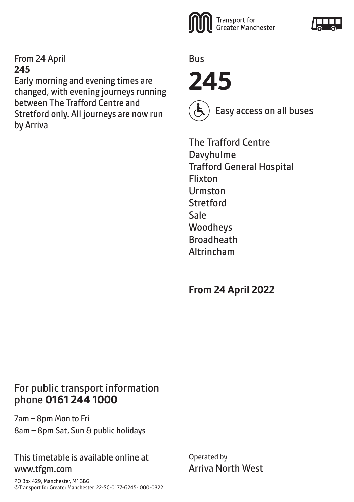#### From 24 April **245**

Early morning and evening times are changed, with evening journeys running between The Trafford Centre and Stretford only. All journeys are now run by Arriva



Bus

**245**



Easy access on all buses

The Trafford Centre Davyhulme Trafford General Hospital Flixton Urmston **Stretford** Sale Woodheys Broadheath Altrincham

**From 24 April 2022**

## For public transport information phone **0161 244 1000**

7am – 8pm Mon to Fri 8am – 8pm Sat, Sun & public holidays

#### This timetable is available online at www.tfgm.com

Operated by Arriva North West

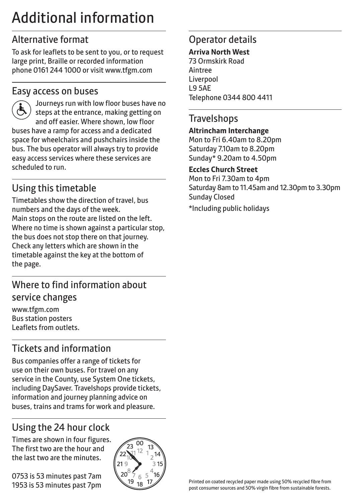# Additional information

## Alternative format

To ask for leaflets to be sent to you, or to request large print, Braille or recorded information phone 0161 244 1000 or visit www.tfgm.com

#### Easy access on buses



 Journeys run with low floor buses have no steps at the entrance, making getting on and off easier. Where shown, low floor buses have a ramp for access and a dedicated space for wheelchairs and pushchairs inside the bus. The bus operator will always try to provide easy access services where these services are scheduled to run.

# Using this timetable

Timetables show the direction of travel, bus numbers and the days of the week. Main stops on the route are listed on the left. Where no time is shown against a particular stop, the bus does not stop there on that journey. Check any letters which are shown in the timetable against the key at the bottom of the page.

## Where to find information about service changes

www.tfgm.com Bus station posters Leaflets from outlets.

# Tickets and information

Bus companies offer a range of tickets for use on their own buses. For travel on any service in the County, use System One tickets, including DaySaver. Travelshops provide tickets, information and journey planning advice on buses, trains and trams for work and pleasure.

# Using the 24 hour clock

Times are shown in four figures. The first two are the hour and the last two are the minutes.

0753 is 53 minutes past 7am 1953 is 53 minutes past 7pm



## Operator details

#### **Arriva North West**

73 Ormskirk Road Aintree Liverpool L9 5AE Telephone 0344 800 4411

#### **Travelshops**

#### **Altrincham Interchange**

Mon to Fri 6.40am to 8.20pm Saturday 7.10am to 8.20pm Sunday\* 9.20am to 4.50pm

#### **Eccles Church Street**

Mon to Fri 7.30am to 4pm Saturday 8am to 11.45am and 12.30pm to 3.30pm Sunday Closed

\*Including public holidays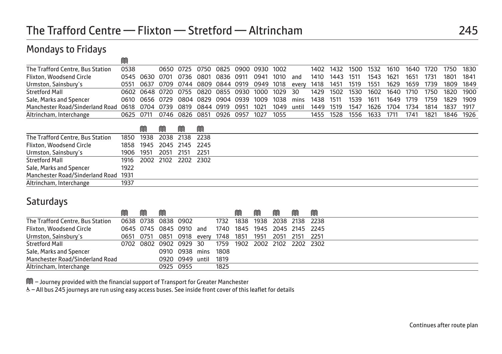## Mondays to Fridays

| The Trafford Centre, Bus Station | 0538      |                                                 |      | 0650 0725 0750 0825 0900 0930 1002 |      |      |      |       |           | 1402 1432 | 1500 | 1532 | 1610      | 1640 | 1720 | 1750      | 1830 |
|----------------------------------|-----------|-------------------------------------------------|------|------------------------------------|------|------|------|-------|-----------|-----------|------|------|-----------|------|------|-----------|------|
| <b>Flixton, Woodsend Circle</b>  |           | 0545 0630 0701 0736                             | 0801 | 0836 0911                          |      | 0941 | 1010 | and   | 1410      | 1443      | 1511 | 1543 | 1621      | 1651 | 1731 | 1801      | 1841 |
| Urmston, Sainsbury's             | 0551      | 0637 0709 0744 0809 0844 0919 0949 1018         |      |                                    |      |      |      | every | 1418      | 1451      | 1519 | 1551 | 1629      | 1659 | 1739 | 1809 1849 |      |
| <b>Stretford Mall</b>            |           | 0602 0648 0720 0755 0820 0855 0930 1000 1029 30 |      |                                    |      |      |      |       | 1429      | 1502 1530 |      | 1602 | 1640 1710 |      | 1750 | 1820      | 1900 |
| Sale, Marks and Spencer          |           | 0610 0656 0729 0804 0829 0904 0939 1009         |      |                                    |      |      | 1038 | mins  | 1438 1511 |           | 1539 | 1611 | 1649      | 1719 | 1759 | 1829 1909 |      |
| Manchester Road/Sinderland Road  | 0618      | 0704 0739 0819 0844 0919                        |      |                                    | 0951 | 1021 | 1049 | until | 1449      | 1519      | 1547 | 1626 | 1704      | 1734 | 1814 | 1837      | 1917 |
| Altrincham, Interchange          | 0625 0711 | 0746 0826 0851 0926 0957                        |      |                                    |      | 1027 | 1055 |       | 1455 1528 |           | 1556 | 1633 | 1711      | 1741 | 1821 | 1846 1926 |      |

|                                      |      | M         | M                        | M |  |
|--------------------------------------|------|-----------|--------------------------|---|--|
| The Trafford Centre, Bus Station     |      |           | 1850 1938 2038 2138 2238 |   |  |
| Flixton, Woodsend Circle             |      |           | 1858 1945 2045 2145 2245 |   |  |
| Urmston, Sainsbury's                 |      | 1906 1951 | 2051 2151 2251           |   |  |
| <b>Stretford Mall</b>                |      |           | 1916 2002 2102 2202 2302 |   |  |
| Sale, Marks and Spencer              | 1922 |           |                          |   |  |
| Manchester Road/Sinderland Road 1931 |      |           |                          |   |  |
| Altrincham, Interchange              | 1937 |           |                          |   |  |

#### **Saturdays**

|                                  | M | m | M                                                       |                      |           | M                   | m | M | M                             |
|----------------------------------|---|---|---------------------------------------------------------|----------------------|-----------|---------------------|---|---|-------------------------------|
| The Trafford Centre, Bus Station |   |   | 0638 0738 0838 0902                                     |                      | 1732 1838 | 1938 2038 2138 2238 |   |   |                               |
| <b>Flixton, Woodsend Circle</b>  |   |   | 0645 0745 0845 0910 and                                 |                      |           |                     |   |   | 1740 1845 1945 2045 2145 2245 |
| Urmston, Sainsbury's             |   |   | 0651 0751 0851 0918 every 1748 1851 1951 2051 2151 2251 |                      |           |                     |   |   |                               |
| <b>Stretford Mall</b>            |   |   | 0702 0802 0902 0929 30                                  |                      |           |                     |   |   | 1759 1902 2002 2102 2202 2302 |
| Sale, Marks and Spencer          |   |   |                                                         | 0910 0938 mins 1808  |           |                     |   |   |                               |
| Manchester Road/Sinderland Road  |   |   |                                                         | 0920 0949 until 1819 |           |                     |   |   |                               |
| Altrincham, Interchange          |   |   |                                                         | 0925 0955            | 1825      |                     |   |   |                               |

M – Journey provided with the financial support of Transport for Greater Manchester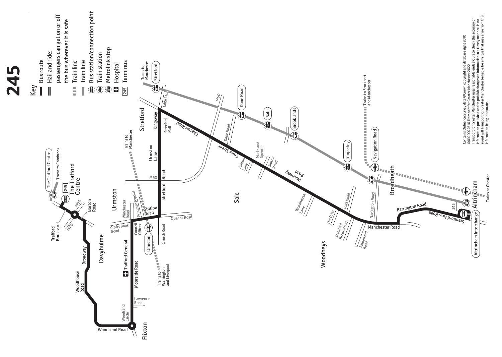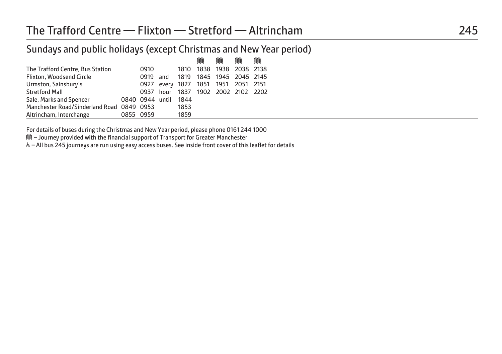## Sundays and public holidays (except Christmas and New Year period)

|                                           |           |                      |      | M                                   | M | M | M |  |
|-------------------------------------------|-----------|----------------------|------|-------------------------------------|---|---|---|--|
| The Trafford Centre, Bus Station          |           | 0910                 |      | 1810 1838 1938 2038 2138            |   |   |   |  |
| <b>Flixton, Woodsend Circle</b>           |           | 0919 and             |      | 1819 1845 1945 2045 2145            |   |   |   |  |
| Urmston, Sainsbury's                      |           |                      |      | 0927 every 1827 1851 1951 2051 2151 |   |   |   |  |
| <b>Stretford Mall</b>                     |           |                      |      | 0937 hour 1837 1902 2002 2102 2202  |   |   |   |  |
| Sale, Marks and Spencer                   |           | 0840 0944 until 1844 |      |                                     |   |   |   |  |
| Manchester Road/Sinderland Road 0849 0953 |           |                      | 1853 |                                     |   |   |   |  |
| Altrincham, Interchange                   | 0855 0959 |                      | 1859 |                                     |   |   |   |  |

For details of buses during the Christmas and New Year period, please phone 0161 244 1000

M – Journey provided with the financial support of Transport for Greater Manchester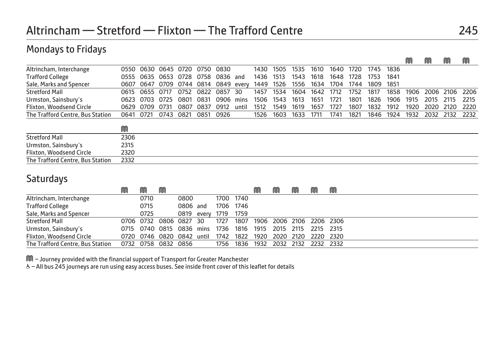## Mondays to Fridays

|                                  |      |      |           |      |      |                              |       |      |      |      |      |      |      |      |      | M    | M         | M    | M    |
|----------------------------------|------|------|-----------|------|------|------------------------------|-------|------|------|------|------|------|------|------|------|------|-----------|------|------|
| Altrincham, Interchange          | 0550 | 0630 | 0645 0720 |      | 0750 | 0830                         |       | 1430 | 1505 | 1535 | 1610 | 1640 | 1720 | 1745 | 1836 |      |           |      |      |
| <b>Trafford College</b>          | 0555 |      |           |      |      | 0635 0653 0728 0758 0836 and |       | 1436 | 1513 | 1543 | 1618 | 1648 | 1728 | 1753 | 1841 |      |           |      |      |
| Sale, Marks and Spencer          | 0607 | 0647 |           |      |      | 0709 0744 0814 0849 every    |       | 1449 | 1526 | 1556 | 1634 | 1704 | 1744 | 1809 | 1851 |      |           |      |      |
| <b>Stretford Mall</b>            | 0615 | 0655 | 0717      | 0752 | 0822 | 0857                         | 30    | 1457 | 1534 | 1604 | 1642 | 1712 | 1752 | 1817 | 1858 | 1906 | 2006 2106 |      | 2206 |
| Urmston, Sainsbury's             | 0623 | 0703 | 0725      | 0801 | 0831 | 0906                         | mins  | 1506 | 1543 | 1613 | 1651 | 1721 | 1801 | 1826 | 1906 | 1915 | 2015      | 2115 | 2215 |
| Flixton, Woodsend Circle         | 0629 | 0709 | 0731      | 0807 | 0837 | 0912                         | until | 1512 | 1549 | 1619 | 1657 | 1727 | 1807 | 1832 | 1912 | 1920 | 2020      | 2120 | 2220 |
| The Trafford Centre, Bus Station | 0641 | 0721 | 0743      | 0821 | 0851 | 0926                         |       | 1526 | 1603 | 1633 | 1711 | 1741 | 1821 | 1846 | 1924 | 1932 | 2032 2132 |      | 2232 |
|                                  | M    |      |           |      |      |                              |       |      |      |      |      |      |      |      |      |      |           |      |      |
| Stretford Mall                   | 2306 |      |           |      |      |                              |       |      |      |      |      |      |      |      |      |      |           |      |      |
| Urmston, Sainsbury's             | 2315 |      |           |      |      |                              |       |      |      |      |      |      |      |      |      |      |           |      |      |
| Flixton, Woodsend Circle         | 2320 |      |           |      |      |                              |       |      |      |      |      |      |      |      |      |      |           |      |      |
| The Trafford Centre, Bus Station | 2332 |      |           |      |      |                              |       |      |      |      |      |      |      |      |      |      |           |      |      |

#### **Saturdays**

|                                  | M |      | M                             |          |       |      |      | M    | M | M | M                        | M |
|----------------------------------|---|------|-------------------------------|----------|-------|------|------|------|---|---|--------------------------|---|
| Altrincham, Interchange          |   | 0710 |                               | 0800     |       | 1700 | 1740 |      |   |   |                          |   |
| <b>Trafford College</b>          |   | 0715 |                               | 0806 and |       | 1706 | 1746 |      |   |   |                          |   |
| Sale, Marks and Spencer          |   | 0725 |                               | 0819     | every | 1719 | 1759 |      |   |   |                          |   |
| <b>Stretford Mall</b>            |   |      | 0706 0732 0806 0827 30        |          |       | 1727 | 1807 |      |   |   | 1906 2006 2106 2206 2306 |   |
| Urmston, Sainsbury's             |   |      | 0715 0740 0815 0836 mins 1736 |          |       |      | 1816 | 1915 |   |   | 2015 2115 2215 2315      |   |
| Flixton, Woodsend Circle         |   |      | 0720 0746 0820 0842 until     |          |       | 1742 | 1822 |      |   |   | 1920 2020 2120 2220 2320 |   |
| The Trafford Centre, Bus Station |   |      | 0732 0758 0832 0856           |          |       | 1756 | 1836 | 1932 |   |   | 2032 2132 2232 2332      |   |

M – Journey provided with the financial support of Transport for Greater Manchester